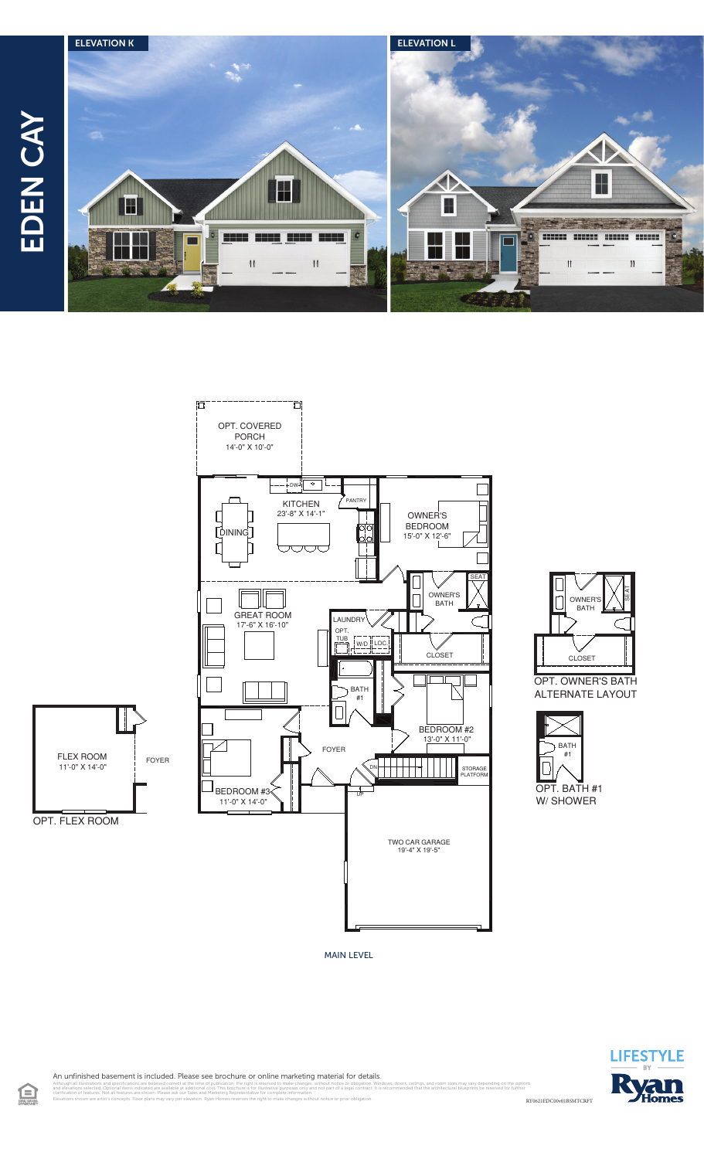





OPT. OWNER'S BATH ALTERNATE LAYOUT



MAIN LEVEL



An unfinished basement is included. Please see brochure or online marketing material for details.

Elevations shown are artist's concepts. Floor plans may vary per elevation. Ryan Homes reserves the right to make changes without notice or prior obligation.

RY0621EDC00v01BSMTCRFT illustrations and specifications are believed correct at the time of publication, the right is reserved to make changes, without notice or obligation. Windows, doors, ceilings, and room sizes may vary depending on the opt<br> clarification of features. Not all features are shown. Please ask our Sales and Marketing Representative for complete information.

旦